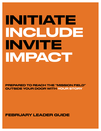# INITIATE INCLUDE INVITE IMPACT

PREPARED TO REACH THE "MISSION FIELD" OUTSIDE YOUR DOOR WITH YOUR STORY

FEBRUARY LEADER GUIDE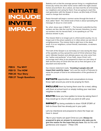# INITIATE INCLUDE INVITE IMPACT

**FEB 6 The WHY FEB 13 The HOW FEB 20 Your Story FEB 27 Tough Questions** Statistics tell us that the average person living in a neighborhood knows (by name) one other home owner within the eight closest homes around them. As a culture, we have lost the art of knowing our neighbors and caring for them. If we are going to reach the next generation with the Gospel of Jesus, we (the body of Christ) need to change that narrative.

Pastor Kenneth will begin a sermon series through the book of Acts called "Sent". The whole book of Acts is about spreading the message of Jesus to a lost world.

So, when Jesus says in Matt 9, "… The harvest is plentiful but the workers are few. Ask the Lord for the harvest, therefore, to send out workers into his harvest field", is he speaking to us? The obvious answer is yes**.**

The mission field is no longer just in a third world country, it is no longer just in the prison systems or in cities where we see lots of unrighteousness. The mission field is right here in the deep south. It is our neighbors, school friends, teammates, co-workers and family.

The truth of the Gospel is as real today as it was during the days of the apostles as they spread the word of Christ wherever they went. Ultimate freedom and ultimate peace can only come from the "author and perfecter" of our Faith, Jesus Christ. Let's encourage each other to be prepared to share our own story of faith and the story of Christ who has set us free and gave us an abundant and eternal life.

Our mission statement reads, "**Investing in people who will impact their world for Jesus**." Let's use the month of February to equip the people of God to be ambassadors of the goodness of Jesus!

INITIATE opportunities and conversations to know those right around you and to be praying for them.

INCLUDE them by having them over for a meal, sitting with them at school lunch or simply inviting your next door neighbor to take a walk.

**INVITE** those you have gotten to know by asking them if they would go to church with you (and sit with you).

**IMPACT** by being available to share YOUR STORY of faith to those God has already put in your path.

Let's be intentional and prepared to share the hope we have in Jesus!

"But in your hearts set apart Christ as Lord. **Always be prepared to give an answer to everyone who asks you to give the reason for the hope that you have**. But do this with gentleness and respect." I Peter 3:15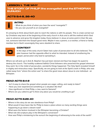#### LESSON 1: THE WHY THE STORY OF PHILIP (the evangelist) and the ETHIOPIAN **EUNUCH**

#### ACTS 8:4-8, 26-40



#### INTRO

- What do you think of when you hear the word "evangelist"?
- Do you see yourself as an evangelist?

It's amazing to think about God's plan to reach the nations is with his people. This is a task carried out by Christians way back at the beginning of the early church in Acts and is still the method which God uses to advance and grow His kingdom today. Every believer in Jesus at some point in their life was not, someone told them the Gospel good news. Maybe it was a parent, a co-worker, a friend or family member but in God's sovereignty they were obedient to share.



#### CONTEXT

In the days of the early church Satan had a plan of persecution to all who believed. This plan however had the opposite effect to what he intended. Instead of smothering the gospel, persecution only lead to spreading it.

Where we will pick up in Acts 8, Stephen has just been stoned and Saul has began his quest to destroy the church. This hostility scattered faithful Christ followers who preached the gospel wherever they went. So in the midst of persecution, wonderful things happened. The Holy Spirit revealed himself in mighty and miraculous ways. Specifically, we are going to look at the Spirit's work in Philip, who was called away from "where the action was" to share the good news about Jesus to one individual - an Ethiopian.

#### *READ ACTS 8:4-8*

- Isn't it easy to share the gospel when people are eager, willing, and ready to listen?
- Have you ever experienced something or a situation like this?
- How significant is it that Philip, a Jew, went to Samaria?
- Where are you called to go? Is there any place you would be unwilling to go?

#### *READ ACTS 8:26-40*

- Where in this story do we see obedience from Philip?
- What would it have been like for Philip to leave a place where so many exciting things were happening to go down a desert road?
- What were the factors involved in the Ethiopian becoming a Christian?
- What role did scripture play in the Ethiopian's conversion?
- How was Philip's ministering to the eunuch the beginning of witnessing to the ends of the earth?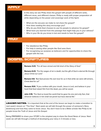| <b>APPLY</b> |                                                                                                                                                                                                                                                                                                                                      |
|--------------|--------------------------------------------------------------------------------------------------------------------------------------------------------------------------------------------------------------------------------------------------------------------------------------------------------------------------------------|
|              | In this story we see Philip share the gospel with people of different ranks,<br>different races, and different classes. Philip is ready with proper preparation all<br>while depending on the power and sovereign work of the Spirit.                                                                                                |
|              | What are the excuses we make to not share the gospel?<br>How does reading this story encourage you?<br>Why do you think God chooses to use his people to advance his gospel?<br>- What have you learned from this passage that might help you in your witness?<br>Who in your life do you know is lost and needs to hear the gospel? |
| PRAY         |                                                                                                                                                                                                                                                                                                                                      |
|              | - For obedience like Philip.<br>- For help in seeing other people like God sees them.<br>For recognizing our purpose as believers and for opportunities to share the<br>gospel with the lost.                                                                                                                                        |
|              | <b>GOSPEL SCRIPTURES</b>                                                                                                                                                                                                                                                                                                             |
|              | Romans 3:23, "For all have sinned and fall short of the Glory of God."                                                                                                                                                                                                                                                               |
|              | <b>Romans 6:23</b> , "For the wages of sin is death, but the gift of God is eternal life through<br>Jesus Christ our Lord."                                                                                                                                                                                                          |
|              | <b>Romans 5:8,</b> "But God proves His own love for us in that while we were still sinners,<br>Christ died for us!"                                                                                                                                                                                                                  |
|              | <b>Romans 10:9,</b> "If you confess with your mouth, Jesus is Lord, and believe in your<br>heart that God raised Him from the dead, you will be saved.                                                                                                                                                                               |
|              | <b>John 3:16,</b> "For God so loved the world that he gave his one and only Son, that<br>whoever believes in him shall not perish but have eternal life."                                                                                                                                                                            |
|              |                                                                                                                                                                                                                                                                                                                                      |

LEADER NOTES: It is important that at the end of the lesson we begin to make a transition to next week's lesson on "The How". Next week we will talk through the power of someone's Story (testimony) and how they came to know Jesus. You don't have to be a Bible scholar like Philip to let people know the Truth of Jesus and His Gospel.

Being PREPARED to share your STORY is the simplest way to share the Good News of Jesus. Next week we will talk through a method of developing your story in 3 minutes or less.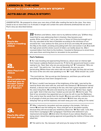#### LESSON 2: THE HOW HOW DO I COMMUNICATE MY STORY?

#### ACTS 22:1-21 (PAUL'S STORY)

LEADER NOTES: Be prepared to share your own story of faith after reading the text to the class. Your story needs to be no more than 3 or 4 minutes in length and contain the same elements (method) that we see in Paul's story (as described below)

| <b>Paul's life</b><br>before meeting<br><b>Jesus</b>           | 22 "Brothers and fathers, listen now to my defense before you." 2 When they<br>heard that he was addressing them in Aramaic, they became even<br>quieter. 3 He continued, "I am a Jew, born in Tarsus of Cilicia but brought up in<br>this city, educated at the feet of Gamaliel according to the strictness of our<br>ancestral law. I was zealous for God, just as all of you are today. 4 I persecuted<br>this Way to the death, arresting and putting both men and women in jail, 5 as both<br>the high priest and the whole council of elders can testify about me. After I<br>received letters from them to the brothers, I traveled to Damascus to arrest those<br>who were there and bring them to Jerusalem to be punished.                     |
|----------------------------------------------------------------|-----------------------------------------------------------------------------------------------------------------------------------------------------------------------------------------------------------------------------------------------------------------------------------------------------------------------------------------------------------------------------------------------------------------------------------------------------------------------------------------------------------------------------------------------------------------------------------------------------------------------------------------------------------------------------------------------------------------------------------------------------------|
|                                                                | <b>Paul's Testimony</b>                                                                                                                                                                                                                                                                                                                                                                                                                                                                                                                                                                                                                                                                                                                                   |
| <b>How Paul met</b><br><b>Jesus</b>                            | 6 "As I was traveling and approaching Damascus, about noon an intense light<br>from heaven suddenly flashed around me. 7 I fell to the ground and heard a voice<br>saying to me, 'Saul, Saul, why are you persecuting me?' 8 "I answered, 'Who are<br>you, Lord?' "He said to me, 'I am Jesus of Nazareth, the one you are<br>persecuting.' 9 Now those who were with me saw the light, but they did not hear<br>the voice of the one who was speaking to me. 10 "I said, 'What should I do, Lord?'                                                                                                                                                                                                                                                       |
| (the<br><b>circumstances</b>                                   | "The Lord told me, 'Get up and go into Damascus, and there you will be told<br>everything that you have been assigned to do.'                                                                                                                                                                                                                                                                                                                                                                                                                                                                                                                                                                                                                             |
| that led you to<br>accept Jesus<br>as your Lord<br>and Savior) | 11 "Since I couldn't see because of the brightness of the light, I was led by the<br>hand by those who were with me, and went into Damascus. 12 Someone named<br>Ananias, a devout man according to the law, who had a good reputation with all<br>the Jews living there, 13 came and stood by me and said, 'Brother Saul, regain<br>your sight.' And in that very hour I looked up and saw him. 14 And he said, 'The<br>God of our ancestors has appointed you to know his will, to see the Righteous<br>One, and to hear the words from his mouth, 15 since you will be a witness for him<br>to all people of what you have seen and heard. 16 And now, why are you<br>delaying? Get up and be baptized, and wash away your sins, calling on his name.' |
| <b>Paul's life after</b><br>he met Jesus                       | 17 "After I returned to Jerusalem and was praying in the temple, I fell into a<br>trance 18 and saw him telling me, 'Hurry and get out of Jerusalem quickly,<br>because they will not accept your testimony about me.' 19 "But I said, 'Lord, they<br>know that in synagogue after synagogue I had those who believed in you<br>imprisoned and beaten. 20 And when the blood of your witness Stephen was<br>being shed, I stood there giving approval and guarding the clothes of those who<br>killed him.'                                                                                                                                                                                                                                               |
|                                                                | 21 "He said to me, 'Go, because I will send you far away to the Gentiles."                                                                                                                                                                                                                                                                                                                                                                                                                                                                                                                                                                                                                                                                                |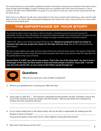Our natural tendency is to be fearful of getting into faith conversations, because we sometimes think that we don't know enough about the Bible, or what if someone asks me a question that I don't know the answer to. This is common, but that is why YOUR STORY is so great. It is your story, it is how you came to know Jesus and what He has done for you.

Paul's story is no different. His life was a mess before he met Jesus on that road to Damascus. Jesus met him right where he was…sin and all. After receiving the forgiveness that comes from Jesus, Jesus put Paul on a new course of life that would Glorify God.

# THE IMPORTANCE OF YOUR STORY

You should be able to share your story in about 3 minutes. It should be personal and point towards the redemptive sacrifice of Jesus. Remember, you heard the Gospel message from someone and it changed your life forever. Your testimony of victory in Christ is a Gospel message someone needs to hear! Be prepared.

I Peter 3:15, "But in your hearts set apart Christ as Lord. **Always be prepared to give an answer to everyone who asks you to give the reason for the hope that you have**. But do this with gentleness and respect,"

Be sure to pray before you write out your story of how you came to know Jesus. The power of the Holy Spirit is greater then your words and you want everyone who hears your story to hear the Holy Spirit as He points them to the cross of Christ.

**Special Note: It is NOT your job to save anyone. That is the role of the Holy Spirit. Our job is to be a messenger of the hope we have found in Jesus and invite people to believe. Jesus said, "I am the way, the truth and the life, no one comes to the Father except through me."** 



## Q **Questions**

1.Why do you think your story of faith is important?

- 2. What is your greatest fear in sharing your faith and why?
- 3. Jesus says in Luke 10:2, "… The harvest is abundant but the workers are few. Therefore, pray to the Lord of the harvest to send out workers into His harvest." Who do you think He is asking to be workers and why would He ask you?

\_\_\_\_\_\_\_\_\_\_\_\_\_\_\_\_\_\_\_\_\_\_\_\_\_\_\_\_\_\_\_\_\_\_\_\_\_\_\_\_\_\_\_\_\_\_\_\_\_\_\_\_\_\_\_\_\_\_\_\_\_\_\_\_\_\_\_\_\_\_\_\_\_\_\_\_\_

\_\_\_\_\_\_\_\_\_\_\_\_\_\_\_\_\_\_\_\_\_\_\_\_\_\_\_\_\_\_\_\_\_\_\_\_\_\_\_\_\_\_\_\_\_\_\_\_\_\_\_\_\_\_\_\_\_\_\_\_\_\_\_\_\_\_\_\_\_\_\_\_\_\_\_\_\_

\_\_\_\_\_\_\_\_\_\_\_\_\_\_\_\_\_\_\_\_\_\_\_\_\_\_\_\_\_\_\_\_\_\_\_\_\_\_\_\_\_\_\_\_\_\_\_\_\_\_\_\_\_\_\_\_\_\_\_\_\_\_\_\_\_\_\_\_\_\_\_\_\_\_\_\_\_

\_\_\_\_\_\_\_\_\_\_\_\_\_\_\_\_\_\_\_\_\_\_\_\_\_\_\_\_\_\_\_\_\_\_\_\_\_\_\_\_\_\_\_\_\_\_\_\_\_\_\_\_\_\_\_\_\_\_\_\_\_\_\_\_\_\_\_\_\_\_\_\_\_\_\_\_\_

\_\_\_\_\_\_\_\_\_\_\_\_\_\_\_\_\_\_\_\_\_\_\_\_\_\_\_\_\_\_\_\_\_\_\_\_\_\_\_\_\_\_\_\_\_\_\_\_\_\_\_\_\_\_\_\_\_\_\_\_\_\_\_\_\_\_\_\_\_\_\_\_\_\_\_\_\_

\_\_\_\_\_\_\_\_\_\_\_\_\_\_\_\_\_\_\_\_\_\_\_\_\_\_\_\_\_\_\_\_\_\_\_\_\_\_\_\_\_\_\_\_\_\_\_\_\_\_\_\_\_\_\_\_\_\_\_\_\_\_\_\_\_\_

4. In our culture today (here in the deep south), who do we feel is responsible for making sure the Gospel of Jesus is shared? \_ If you put the pastor of the local church, what might be wrong with that answer?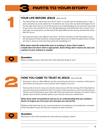

#### **YOUR LIFE BEFORE JESUS** (Acts 22:1-5)

- You may be like me, there was not a lot of "mess" in my life prior to meeting Jesus. I was 7 years old when my uncle asked me if I wanted to ask Jesus into my heart and forgive me of my sins. But, there was so much that led up to me understanding my sin and why Jesus had to go to the cross and die for my sins. My grandparents and family took me to church at an early age, we sang hymns, we learned all the great Bible stories and we learned that Jesus died for my sin.
- You may have had a very difficult "pre-Jesus" and the conviction of the Holy Spirit in your life was big and it took someone caring enough about you to share the good news of hope we have in Jesus to overcome this world and everything in it.

**Write down what life looked like prior to trusting in Jesus. Don't make it complicated and share what is appropriate. Some things don't need to be said, but a picture of your lostness is needed.**

\_\_\_\_\_\_\_\_\_\_\_\_\_\_\_\_\_\_\_\_\_\_\_\_\_\_\_\_\_\_\_\_\_\_\_\_\_\_\_\_\_\_\_\_\_\_\_\_\_\_\_\_\_\_\_\_\_\_\_\_\_\_\_\_\_\_\_\_\_\_\_\_\_\_ \_\_\_\_\_\_\_\_\_\_\_\_\_\_\_\_\_\_\_\_\_\_\_\_\_\_\_\_\_\_\_\_\_\_\_\_\_\_\_\_\_\_\_\_\_\_\_\_\_\_\_\_\_\_\_\_\_\_\_\_\_\_\_\_\_\_\_\_\_\_\_\_\_\_ \_\_\_\_\_\_\_\_\_\_\_\_\_\_\_\_\_\_\_\_\_\_\_\_\_\_\_\_\_\_\_\_\_\_\_\_\_\_\_\_\_\_\_\_\_\_\_\_\_\_\_\_\_\_\_\_\_\_\_\_\_\_\_\_\_\_\_\_\_\_\_\_\_\_



**Question**<br>Before accepting Jesus, what were the most important things to you?



#### **HOW YOU CAME TO TRUST IN JESUS** (Acts 22:6-16)

- Everyone's story is a little different, but the one thing we all have in common is that point in time where we said yes to Jesus and we were forgiven of our sin.
- Some came to trust in Jesus at a church camp and you felt the moving of the Holy Spirit on your life and you surrendered to Him. For some it may have been a church revival and you felt the word of God pierce your heart with truth and reveal your lostness. For some it was a gentle voice at home and God spoke to you and you knew you needed Him.

**Write down what circumstances led you to an understanding that you needed a Savior to forgive you from your sins and give you eternal life.** 

Whatever that looks like for you, communicate the circumstances surrounding the conviction of the Holy Spirit in your life and your response to that conviction.

\_\_\_\_\_\_\_\_\_\_\_\_\_\_\_\_\_\_\_\_\_\_\_\_\_\_\_\_\_\_\_\_\_\_\_\_\_\_\_\_\_\_\_\_\_\_\_\_\_\_\_\_\_\_\_\_\_\_\_\_\_\_\_\_\_\_\_\_\_\_\_\_\_\_ \_\_\_\_\_\_\_\_\_\_\_\_\_\_\_\_\_\_\_\_\_\_\_\_\_\_\_\_\_\_\_\_\_\_\_\_\_\_\_\_\_\_\_\_\_\_\_\_\_\_\_\_\_\_\_\_\_\_\_\_\_\_\_\_\_\_\_\_\_\_\_\_\_\_



**Question**<br>What part of John 3:16 resonates the most with you trusting in Jesus?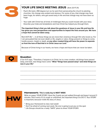

### **YOUR LIFE SINCE MEETING JESUS** (Acts 22:17-21)

- Paul's life took a 180 degree turn as he went from persecuting the church to planting churches. His change was evident and obvious. For some of you, that change may have been huge, for others, who got saved early in life and that change may not have been so huge.
- Your walk with Christ has all kinds of challenges that you could include with your story. Describe your trials and temptations and how Christ has helped you through them.

**The important thing is that you talk about the goodness of Jesus in your life and how He has given you new perspectives and opportunities to impact the lives around you. We have a hope that cannot be taken away.** 

Rom 8:37-39, "… in all these things we are more than victorious through Him who loved us. For I am persuaded that not even death or life, angels or rulers, things present or things to come, hostile powers, height or depth, **or any other created thing will have the power to separate us from the love of God that is in Christ Jesus our Lord**."

Because of Christ living in our hearts, we have a hope and future that can never be taken.



#### **Question**

2 Cor 5:17 says, "Therefore, if anyone is in Christ, he is a new creation, old things have passed away, and look, new things have come." **What "things have passed away" and what things are new in your life**?

\_\_\_\_\_\_\_\_\_\_\_\_\_\_\_\_\_\_\_\_\_\_\_\_\_\_\_\_\_\_\_\_\_\_\_\_\_\_\_\_\_\_\_\_\_\_\_\_\_\_\_\_\_\_\_\_\_\_\_\_\_\_\_\_\_\_\_\_\_\_\_\_\_\_

\_\_\_\_\_\_\_\_\_\_\_\_\_\_\_\_\_\_\_\_\_\_\_\_\_\_\_\_\_\_\_\_\_\_\_\_\_\_\_\_\_\_\_\_\_\_\_\_\_\_\_\_\_\_\_\_\_\_\_\_\_\_\_\_\_\_\_\_\_\_\_\_\_\_

\_\_\_\_\_\_\_\_\_\_\_\_\_\_\_\_\_\_\_\_\_\_\_\_\_\_\_\_\_\_\_\_\_\_\_\_\_\_\_\_\_\_\_\_\_\_\_\_\_\_\_\_\_\_\_\_\_\_\_\_\_\_\_\_\_\_\_\_\_\_\_\_\_\_

\_\_\_\_\_\_\_\_\_\_\_\_\_\_\_\_\_\_\_\_\_\_\_\_\_\_\_\_\_\_\_\_\_\_\_\_\_\_\_\_\_\_\_\_\_\_\_\_\_\_\_\_\_\_\_\_\_\_\_\_\_\_\_\_\_\_\_\_\_\_\_\_\_\_

\_\_\_\_\_\_\_\_\_\_\_\_\_\_\_\_\_\_\_\_\_\_\_\_\_\_\_\_\_\_\_\_\_\_\_\_\_\_\_\_\_\_\_\_\_\_\_\_\_\_\_\_\_\_\_\_\_\_\_\_\_\_\_\_\_\_\_\_\_\_\_\_\_\_



#### Homework: **This is really key to NEXT WEEK**

Write on paper YOUR STORY. Have the 3 parts we just walked through and keep it around 3 minutes. Don't worry if it is rough or unfinished, the important thing is to DO IT. Your STORY is important, because it tells the story of Jesus.

- \* Bring your Homework to class next week!
- \* Don't be afraid of coming next week. No one is going to put you on the spot
- \* Life Groups should be a really "SAFE" place to share YOUR STORY.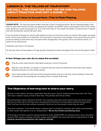#### LESSON 3: THE TELLING OF YOUR STORY WE CALL THIS PRACTICE AND YES WE ARE TALKING ABOUT PRACTICE AND NOT A GAME! :-)

#### It doesn't have to be perfect…This is Role Playing

**LEADER NOTE:** The hard part about today's exercise is that it is purely practical. We are wanting people in the class to share their stories and they are going to be hesitant. You DON'T want to put people in front of the whole class. Break your class into groups of 2, 3 or 4. No more than 4. The smaller the better. It could be just a husband and wife sharing their stories with each other.

If we are afraid of sharing our stories with people we know, we will never share our stories with people we barely know. That is why practice is so important. You may want to hand pick a few people in your group that you know would be willing to share their story and place them strategically in the groups. Once one person shares, it is easier for the next person.

Celebrate each story in the groups.

On this day, there will be people of all age groups sharing their stories throughout the church! How great is that!

#### A few things you can do to ease the anxiety!



Pray the entire week that the Holy Spirit would go in front of everyone.

Start the class off with a co-leader or someone that you have pre-selected to share their story, before breaking everyone up into smaller groups.



If you have people who did not do the homework (which may be a lot), they may be willing to share the circumstances surrounding their accepting Christ. A simple Testimony!

#### The Objective of learning how to share your story.

We live in a time where we have a generation that don't go to church, simply because they never did. They don't see a need for Jesus or God in their lives. They literally don't know of Him.

Paul writes these words in Romans 10:13-15, "For everyone who calls on the name of the Lord will be saved. But how can they call on Him they have not believed in? And how can they believe without hearing about Him? and how can they hear without a preacher? And how can they preach unless they are sent?"

That word "preacher" in the Greek means; someone who is a herald or someone who makes a proclamation. In other words, that applies to us as "ambassadors". **We are the herald's proclaiming Jesus.**

Of all things a Christian could do, being prepared to share YOUR STORY of coming to know Jesus, should be near the TOP. It gives a follower of Christ, a major tool to IMPACT the world that God has placed them in. **It is practical, personal and powerful. Let's make it a priority!**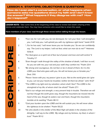#### LESSON 4: STARTERS, OBJECTIONS & QUESTIONS

How do I even start a conversation, or what happens when someone asks me questions about my faith and I don't know the answer? What happens if they disagree with me? How do I respond?

**LEADER NOTE:** Take some time at the beginning of the class to review last week's sharing of the stories and celebrate them. You may have someone who would like to share this week.

**Have members of your class read through these verses before talking through the lesson.**

MKDHAIRDING<br>CDMCD

 $\overline{\mathbf{r}}$ 

U

**KDHDL** 

Ш

- *1. "Fear not, for I am with you; be not dismayed, for I am your God. I will strengthen you, I will help you, I will uphold you with my righteous right hand."* Isaiah 41:10 *2. "…For he has said, 'I will never leave you nor forsake you.' So we can confidently* 
	- *say, 'The Lord is my helper; I will not fear; what can man do to me?'"* Hebrews 13:5b-6
- *3. "For God gave us a spirit not of fear but of power and love and self-control."*2 Timothy 1:7
- *4. "Even though I walk through the valley of the shadow of death, I will fear no evil, for you are with me; your rod and your sta*ff*, they comfort me."* Psalm 23:4
- *5. "Be strong and courageous. Do not fear or be in dread of them, for it is the LORD your God who goes with you. He will not leave you or forsake you."*  Deut. 31:6
- *6. "Peace I leave with you; my peace I give to you. Not as the world gives do I give to you. Let not your hearts be troubled, neither let them be afraid."* John 14:27
- *7. "The LORD is my light and my salvation; whom shall I fear? The LORD is the stronghold of my life; of whom shall I be afraid?"* Psalm 27:1
- *8. "God is our refuge and strength, a very present help in trouble. Therefore we will not fear though the earth gives way, though the mountains be moved into the heart of the sea, though its waters roar and foam, though the mountains tremble at its swelling."* Psalm 46:1-3
- *9. "Cast your burden upon the LORD and He will sustain you; He will never allow the righteous to be shaken."* Psalm 55:22

*10. "He who dwells in the shelter of the Most High will abide in the shadow of the Almighty. I will say to the LORD, 'My refuge and my fortress, my God, in whom I trust.'"* Psalm 91:1-2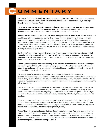# **OMMENTARY**

We can rest in the fact that nothing takes our sovereign God by surprise. Take your fears, worries, and anxieties before God because He cares about them and He desires to lead you through them (1 Peter 5:7; Romans 8:28).

**The truth of God's Word and His promises bridge the gap between the fear you feel and what you know to be true about God and His love for you.** Renewing your mind through the memorization of His Word is the best defense against the fears of this world.

As followers of Christ in today's world, we often let opportunities to share our faith with friends and neighbors slip by without saying a word. The missed chances might come during a backyard conversation with someone who is concerned about a relative's terminal illness, or during a mailbox discussion about a random shooting. We don't know what to say, so we say nothing at all. Or maybe we fail to mention how our relationship with Jesus impacts the way we view personal tragedies or current events because we are afraid of being rejected, of not having all the answers, or being dubbed a religious fanatic.

But it doesn't have to be that way. **Sharing your faith is not a cookie-cutter experience – what works for me might not work for you. But we all have one thing in common – we once were blind and now we see.** And we need to be able to share that in a way that is not confrontational, that is comfortable, that exalts Christ.

**Spending time in prayer and Bible reading is the antidote to the fear that keeps many people from talking about Christ. The more time we spend in the Word, the more confident we will be going to our neighbors.** If we were to summarize the Bible, we would summarize it in the word "relationship" – love God and love others.

We need to keep that vertical connection so we can go horizontal with confidence. Besides the fear factor, people also fail to share their faith at work because they have not made it a priority. They let schedules and projects crowd out relationships. They focus more on the risks like rejection, that accompany sharing their faith, rather than on the joy of helping someone receive the gift of eternal life.

Before you open your mouth to say one word about Christ, you must make sure your habits and lifestyle match what you're about to say. If, for example, you're consistently screaming at your spouse and kids in the backyard, anything you say about Jesus will fall on cynical ears. But if you are kind and humble and handle stress graciously (especially in the backyard) your words will be credible.

Once your actions match your message, you can begin "raising the flag" about your faith. This includes things like praying before meals on the back deck, telling your next-door neighbor that you have peace about a serious illness because you know God is in control; or displaying a very humble and approachable spirit when going about your day.

These "flags" show your neighbors that your faith is important to you. They also open doors that could lead to your personal testimony. I recommend that all believers prepare a brief testimony that includes three key points – their lifestyle before they met Christ, how they found Jesus, and what it means to have Christ in their life today. **"People can debate religion all they want, but they can't debate your personal testimony."** Share it!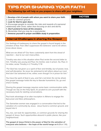# TIPS FOR SHARING YOUR FAITH

#### **The following tips will help as you prepare to share with your neighbors**

#### 1. *Develop a list of people with whom you want to share your faith.*

2. *Look for common ground.*

3. *Look for God to open doors.*

4. *Encourage people to consider the risks and rewards of a personal relationship with Christ, rather than focusing on do's and don'ts.*

- 5. *Don't pretend to have all the answers.*
- 6. *Remember that you may be a seed-planter.*
- 7. *Immerse yourself in prayer and Bible study in preparation.*

#### Internal Challenges in sharing the Gospel

Our feelings of inadequacy to share the gospel is found largely in the emotion of fear. Fear often suppresses the believers' zeal to let others know about Jesus.

What are we afraid of? Our fears customarily stem from the dread of rejection – due to our own insecurities.

Timothy was also in this situation when Paul wrote the second letter to him. Timothy was young and Paul, his mentor, was in prison. So, Paul, in his letter, wrote Timothy in 2 Timothy 1:7-8

*"For God has not given us a spirit of fear and timidity, but of power, love, and self-discipline. So never be ashamed to tell others about our Lord. And don't be ashamed of me, either, even though I'm in prison for him."*

You have the spirit of God in you, and He's not timid. Do not be afraid, this gospel message holds the key to liberate humankind. So, go and share it boldly.

Sharing the gospel message requires some basic communication skills. Though we rely on the Holy Spirit, it's prudent to arm yourself with the necessary tools for starting conversations.

Paul took advantage of an altar inscription in Athens to engage the Epicurean and Stoic philosophers.

The Samaritan woman was engaged in a conversation that led to the salvation of a community by Jesus. Jesus found a common ground, and keyed into it.

You, too, can look for opportunities, or common grounds for sharing the gospel of Jesus. Such opportunities abound in public places, like your neighborhood.

**The gospel of Jesus Christ is** *the power of God for the salvation of everyone who believes* **– the hope of the world hangs on it** (Rom 1:16).

#### NOTES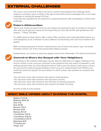## EXTERNAL CHALLENGES

The church, since the time of Paul, has had to confront philosophies that challenge God's existence, and deny Jesus as Deity. In the age of information (and knowledge), this is one major challenge to sharing the gospel of Christ.

It has become expedient for the believers to equip themselves with knowledge to confront this challenge.



#### **Peter's A0dmonition**

*"But in your hearts set apart Christ as Lord. Always be prepared to give an answer to everyone who asks you to give the reason for the hope that you have. But do this with gentleness and respect…"* 1 Peter 3:15 (NIV)

In a 2018 report by *Open Doors USA*, a total of fifty countries were listed (identified) where it is most dangerous to be a follower of Jesus. Nations are becoming more and more hostile to the gospel.

With increasing exposure to torture, imprisonment, loss of home and assets, rape, and death, Christians remain one of the most persecuted religious groups.



Despite these, our resolve to share the gospel must be firm. Remember The Great Commission?

#### **Commit to Share the Gospel with Your Neighbors**

As daunting as the outlined challenges may be, they are offshoots of a bigger challenge. If our love for sinners is true, and your conviction in the gospel as the only means of salvation is real, nothing should hinder you from taking the time to walk across the street or talk across a fence. Do you love the world (unsaved people) as much as you've enjoyed God's love? What's your conviction about the gospel? Do you believe it is God's power unto salvation to everyone that believes?

\*You will never share with someone who doesn't need salvation. \*You will never share with someone who God does not love. \*You will never share with someone who God has not already prepared. \*You will never share with someone who wouldn't be better off saved.

It's time to take it to the streets!

#### GREAT BIBLE VERSES ABOUT SHARING THE GOSPEL

[Matthew 5:13-16](https://www.biblegateway.com/passage/?search=Matthew+5:13-16&ve) [Matthew 28:16-20](https://www.biblegateway.com/passage/?search=Matthew+28:16-20&version=NRSV%22%20%5Ct%20%22_blank) [Acts 1:1-8](https://www.biblegateway.com/passage/?search=Acts+1:1-8&version=NRSV%22%20%5Ct%20%22_blank) [Acts 20:35](https://www.biblegateway.com/passage/?search=Acts+20:35&version=NRSV%22%20%5Ct%20%22_blank) [Romans 1:15-17](https://www.biblegateway) [Romans 10:15](https://www.biblegateway.com/passage/?search=Romans+10:15&version=NRSV%22%20%5Ct%20%22_blank) [Romans 15:1-21](https://www.biblegateway.com/passage/?search) [1 Corinthians 1:10-31](https://www.biblegateway.com/passage/?search=Romans+15:1-21&version=NRSV%22%20%5Ct%20%22_blank) [1 Corinthians 9:16-23](https://www.biblegateway.com/passage/?search=1+Corinthian) [2 Corinthians 9:12-14](https://www.biblegateway.com/passage/?search=2%20Corinthians%209:12-14&version=NRSV%22%20%5Ct%20%22_blank) [Ephesians 6:15](https://www.biblegateway.com/passage/?searc) [2 Timothy 4:5](https://www.biblegateway.com/passage/?search=2+Timothy+4:5&version=NRSV%22%20%5Ct%20%22_blank) [1 Peter 2:21](https://www.biblegateway.com/passage/?search=1+Peter+2:21&versi)